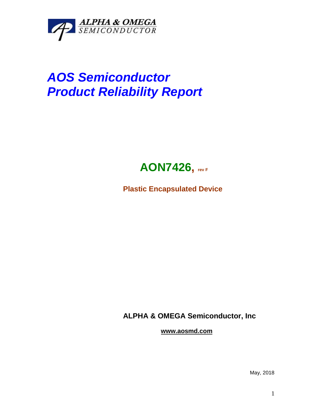

## *AOS Semiconductor Product Reliability Report*



**Plastic Encapsulated Device**

**ALPHA & OMEGA Semiconductor, Inc**

**www.aosmd.com**

May, 2018